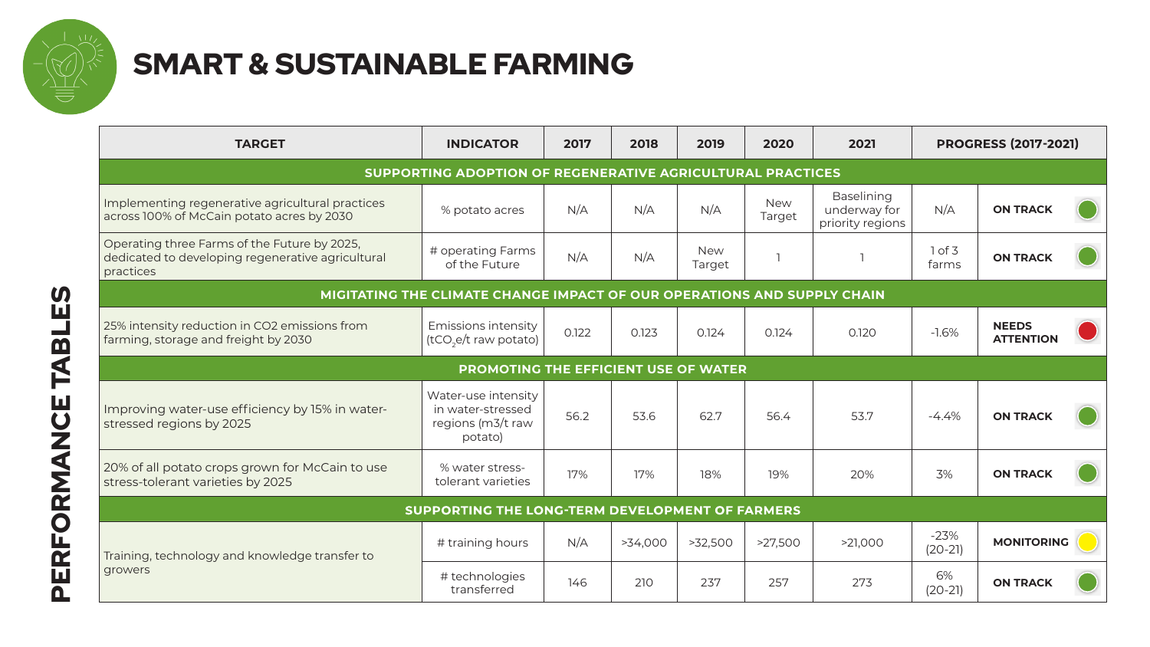

## SMART & SUSTAINABLE FARMING

| <b>TARGET</b>                                                                                                  | <b>INDICATOR</b>                                                         | 2017  | 2018    | 2019                 | 2020                 | 2021                                                  |                     | <b>PROGRESS (2017-2021)</b>      |
|----------------------------------------------------------------------------------------------------------------|--------------------------------------------------------------------------|-------|---------|----------------------|----------------------|-------------------------------------------------------|---------------------|----------------------------------|
|                                                                                                                | SUPPORTING ADOPTION OF REGENERATIVE AGRICULTURAL PRACTICES               |       |         |                      |                      |                                                       |                     |                                  |
| Implementing regenerative agricultural practices<br>across 100% of McCain potato acres by 2030                 | % potato acres                                                           | N/A   | N/A     | N/A                  | <b>New</b><br>Target | <b>Baselining</b><br>underway for<br>priority regions | N/A                 | <b>ON TRACK</b>                  |
| Operating three Farms of the Future by 2025,<br>dedicated to developing regenerative agricultural<br>practices | # operating Farms<br>of the Future                                       | N/A   | N/A     | <b>New</b><br>Target | $\overline{1}$       |                                                       | 1 of 3<br>farms     | <b>ON TRACK</b>                  |
|                                                                                                                | MIGITATING THE CLIMATE CHANGE IMPACT OF OUR OPERATIONS AND SUPPLY CHAIN  |       |         |                      |                      |                                                       |                     |                                  |
| 25% intensity reduction in CO2 emissions from<br>farming, storage and freight by 2030                          | Emissions intensity<br>(tCO <sub>2</sub> e/t raw potato)                 | 0.122 | 0.123   | 0.124                | 0.124                | 0.120                                                 | $-1.6%$             | <b>NEEDS</b><br><b>ATTENTION</b> |
|                                                                                                                | PROMOTING THE EFFICIENT USE OF WATER                                     |       |         |                      |                      |                                                       |                     |                                  |
| Improving water-use efficiency by 15% in water-<br>stressed regions by 2025                                    | Water-use intensity<br>in water-stressed<br>regions (m3/t raw<br>potato) | 56.2  | 53.6    | 62.7                 | 56.4                 | 53.7                                                  | $-4.4\%$            | <b>ON TRACK</b>                  |
| 20% of all potato crops grown for McCain to use<br>stress-tolerant varieties by 2025                           | % water stress-<br>tolerant varieties                                    | 17%   | 17%     | 18%                  | 19%                  | 20%                                                   | 3%                  | <b>ON TRACK</b>                  |
|                                                                                                                | SUPPORTING THE LONG-TERM DEVELOPMENT OF FARMERS                          |       |         |                      |                      |                                                       |                     |                                  |
| Training, technology and knowledge transfer to                                                                 | # training hours                                                         | N/A   | >34,000 | >32,500              | >27,500              | >21,000                                               | $-23%$<br>$(20-21)$ | <b>MONITORING</b>                |
| growers                                                                                                        | # technologies<br>transferred                                            | 146   | 210     | 237                  | 257                  | 273                                                   | 6%<br>$(20-21)$     | <b>ON TRACK</b>                  |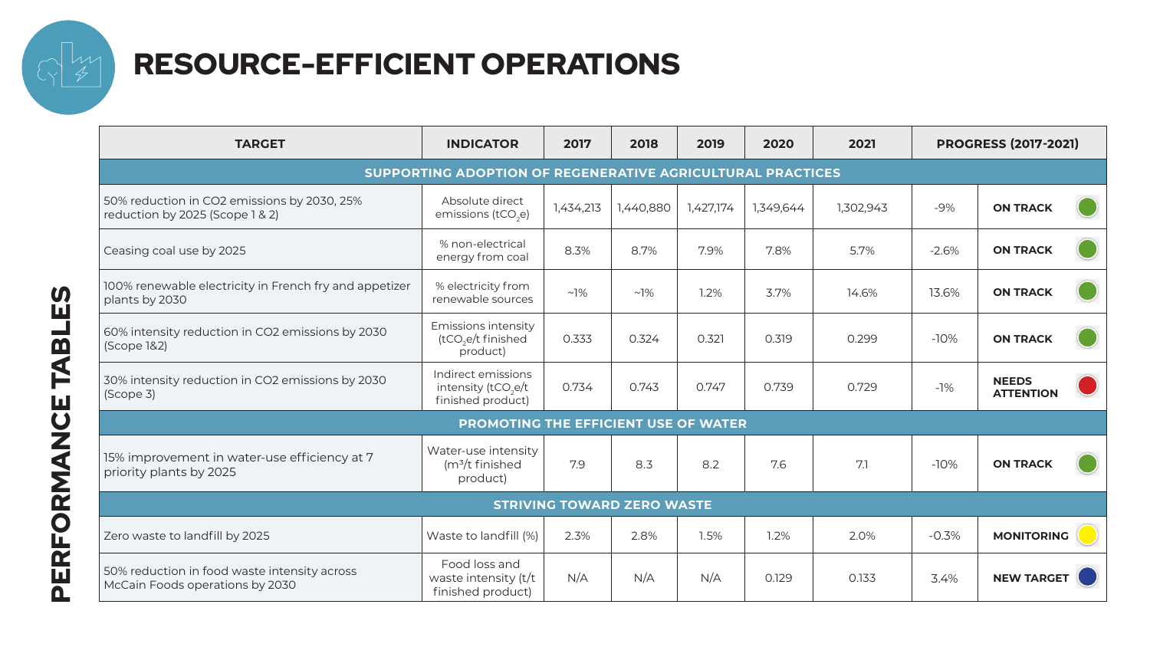

## RESOURCE-EFFICIENT OPERATIONS

| <b>TARGET</b>                                                                   | <b>INDICATOR</b>                                                           | 2017      | 2018      | 2019      | 2020      | 2021      | <b>PROGRESS (2017-2021)</b> |                                  |  |  |
|---------------------------------------------------------------------------------|----------------------------------------------------------------------------|-----------|-----------|-----------|-----------|-----------|-----------------------------|----------------------------------|--|--|
| SUPPORTING ADOPTION OF REGENERATIVE AGRICULTURAL PRACTICES                      |                                                                            |           |           |           |           |           |                             |                                  |  |  |
| 50% reduction in CO2 emissions by 2030, 25%<br>reduction by 2025 (Scope 1 & 2)  | Absolute direct<br>emissions (tCO <sub>2</sub> e)                          | 1,434,213 | 1,440,880 | 1,427,174 | 1,349,644 | 1,302,943 | $-9%$                       | <b>ON TRACK</b>                  |  |  |
| Ceasing coal use by 2025                                                        | % non-electrical<br>energy from coal                                       | 8.3%      | 8.7%      | 7.9%      | 7.8%      | 5.7%      | $-2.6%$                     | <b>ON TRACK</b>                  |  |  |
| 100% renewable electricity in French fry and appetizer<br>plants by 2030        | % electricity from<br>renewable sources                                    | $~1\%$    | $~1\%$    | 1.2%      | 3.7%      | 14.6%     | 13.6%                       | <b>ON TRACK</b>                  |  |  |
| 60% intensity reduction in CO2 emissions by 2030<br>(Scope 1&2)                 | Emissions intensity<br>(tCO <sub>3</sub> e/t finished<br>product)          | 0.333     | 0.324     | 0.321     | 0.319     | 0.299     | $-10%$                      | <b>ON TRACK</b>                  |  |  |
| 30% intensity reduction in CO2 emissions by 2030<br>(Scope 3)                   | Indirect emissions<br>intensity (tCO <sub>2</sub> e/t<br>finished product) | 0.734     | 0.743     | 0.747     | 0.739     | 0.729     | $-1%$                       | <b>NEEDS</b><br><b>ATTENTION</b> |  |  |
|                                                                                 | PROMOTING THE EFFICIENT USE OF WATER                                       |           |           |           |           |           |                             |                                  |  |  |
| 15% improvement in water-use efficiency at 7<br>priority plants by 2025         | Water-use intensity<br>$(m3/t)$ finished<br>product)                       | 7.9       | 8.3       | 8.2       | 7.6       | 7.1       | $-10%$                      | <b>ON TRACK</b>                  |  |  |
|                                                                                 | <b>STRIVING TOWARD ZERO WASTE</b>                                          |           |           |           |           |           |                             |                                  |  |  |
| Zero waste to landfill by 2025                                                  | Waste to landfill (%)                                                      | 2.3%      | 2.8%      | 1.5%      | 1.2%      | 2.0%      | $-0.3%$                     | <b>MONITORING</b>                |  |  |
| 50% reduction in food waste intensity across<br>McCain Foods operations by 2030 | Food loss and<br>waste intensity (t/t<br>finished product)                 | N/A       | N/A       | N/A       | 0.129     | 0.133     | 3.4%                        | <b>NEW TARGET</b>                |  |  |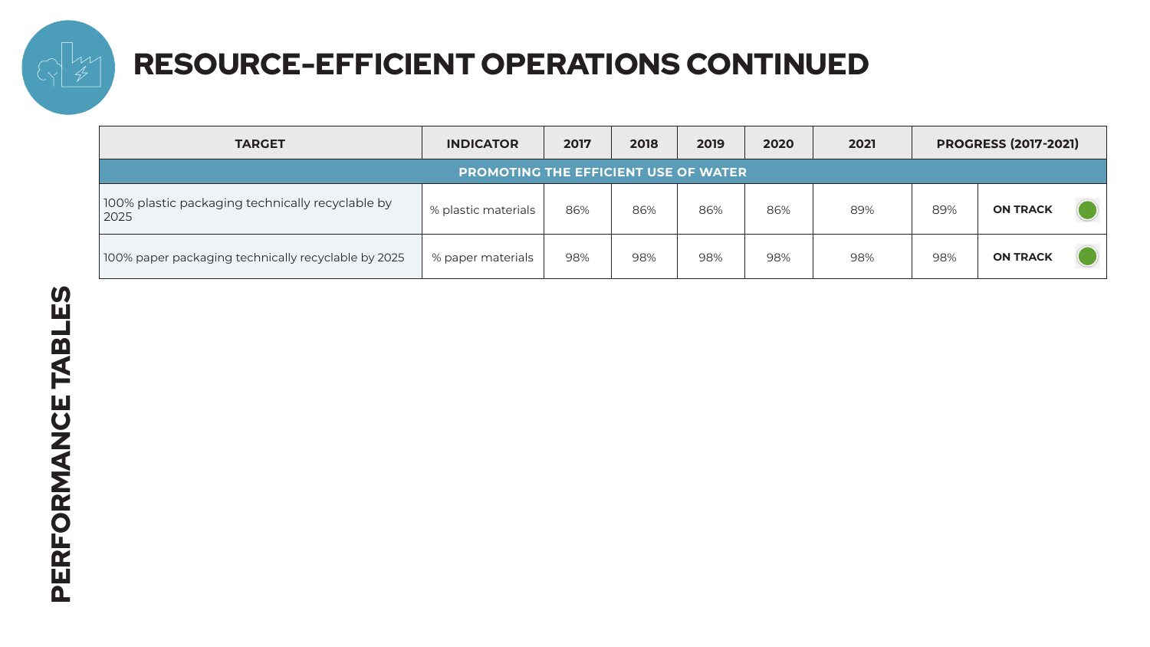

## RESOURCE-EFFICIENT OPERATIONS CONTINUED

| <b>TARGET</b>                                            | <b>INDICATOR</b>    | 2017 | 2018 | 2019 | 2020 | 2021 | <b>PROGRESS (2017-2021)</b> |                 |
|----------------------------------------------------------|---------------------|------|------|------|------|------|-----------------------------|-----------------|
| <b>PROMOTING THE EFFICIENT USE OF WATER.</b>             |                     |      |      |      |      |      |                             |                 |
| 100% plastic packaging technically recyclable by<br>2025 | % plastic materials | 86%  | 86%  | 86%  | 86%  | 89%  | 89%                         | <b>ON TRACK</b> |
| 100% paper packaging technically recyclable by 2025      | % paper materials   | 98%  | 98%  | 98%  | 98%  | 98%  | 98%                         | <b>ON TRACK</b> |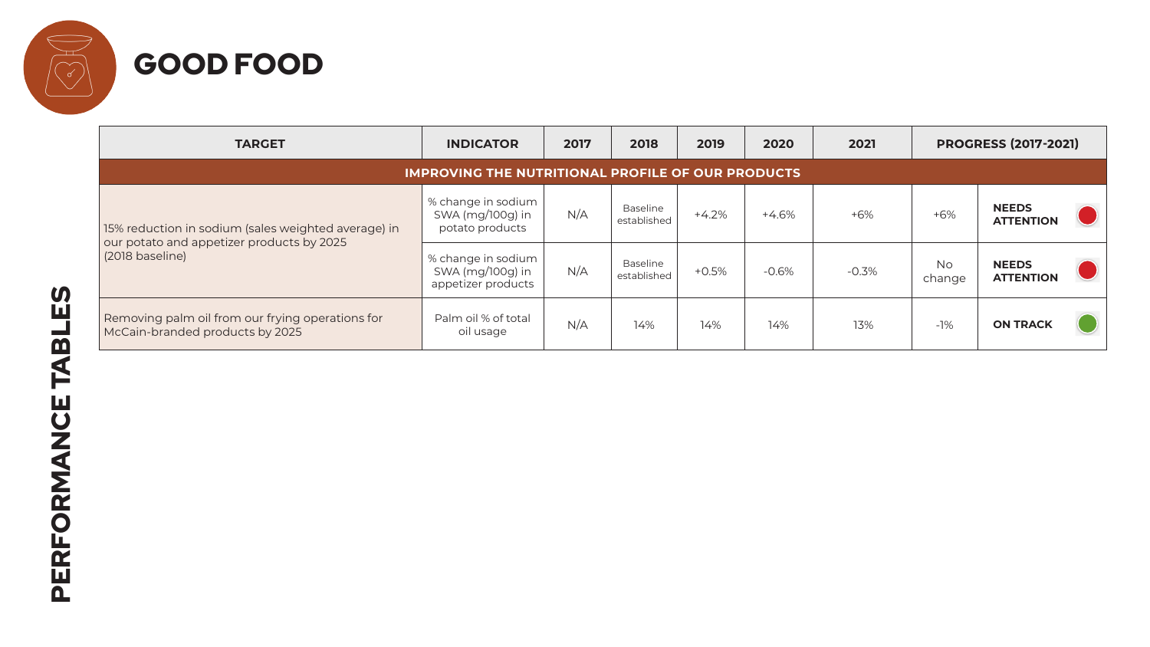

| <b>TARGET</b>                                                                                                       | <b>INDICATOR</b>                                             | 2017 | 2018                    | 2019    | 2020    | 2021    | <b>PROGRESS (2017-2021)</b> |                                  |  |
|---------------------------------------------------------------------------------------------------------------------|--------------------------------------------------------------|------|-------------------------|---------|---------|---------|-----------------------------|----------------------------------|--|
| <b>IMPROVING THE NUTRITIONAL PROFILE OF OUR PRODUCTS</b>                                                            |                                                              |      |                         |         |         |         |                             |                                  |  |
| 15% reduction in sodium (sales weighted average) in<br>our potato and appetizer products by 2025<br>(2018 baseline) | % change in sodium<br>SWA (mg/100g) in<br>potato products    | N/A  | Baseline<br>established | $+4.2%$ | $+4.6%$ | $+6%$   | $+6%$                       | <b>NEEDS</b><br><b>ATTENTION</b> |  |
|                                                                                                                     | % change in sodium<br>SWA (mg/100g) in<br>appetizer products | N/A  | Baseline<br>established | $+0.5%$ | $-0.6%$ | $-0.3%$ | <b>No</b><br>change         | <b>NEEDS</b><br><b>ATTENTION</b> |  |
| Removing palm oil from our frying operations for<br>McCain-branded products by 2025                                 | Palm oil % of total<br>oil usage                             | N/A  | 14%                     | 14%     | 14%     | 13%     | $-1%$                       | <b>ON TRACK</b>                  |  |